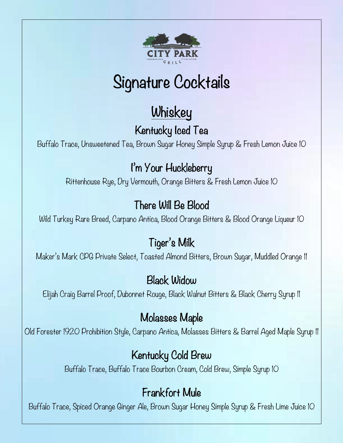

# Signature Cocktails

# **Whiskey**

# Kentucky Iced Tea

Buffalo Trace, Unsweetened Tea, Brown Sugar Honey Simple Syrup & Fresh Lemon Juice 10

# I'm Your Huckleberry

Rittenhouse Rye, Dry Vermouth, Orange Bitters & Fresh Lemon Juice 10

# There Will Be Blood

Wild Turkey Rare Breed, Carpano Antica, Blood Orange Bitters & Blood Orange Liqueur 10

# Tiger's Milk

Maker's Mark CPG Private Select, Toasted Almond Bitters, Brown Sugar, Muddled Orange 11

## Black Widow

Elijah Craig Barrel Proof, Dubonnet Rouge, Black Walnut Bitters & Black Cherry Syrup 11

#### Molasses Maple

Old Forester 1920 Prohibition Style, Carpano Antica, Molasses Bitters & Barrel Aged Maple Syrup 11

# Kentucky Cold Brew

Buffalo Trace, Buffalo Trace Bourbon Cream, Cold Brew, Simple Syrup 10

## Frankfort Mule

Buffalo Trace, Spiced Orange Ginger Ale, Brown Sugar Honey Simple Syrup & Fresh Lime Juice 10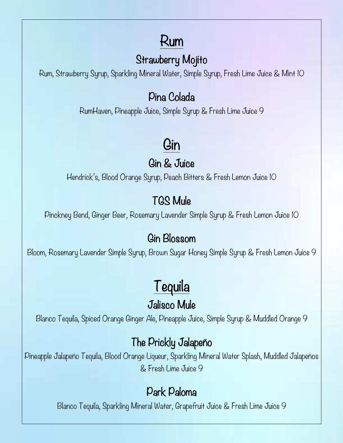# Rum

## Strawberry Mojito

Rum, Strawberry Syrup, Sparkling Mineral Water, Simple Syrup, Fresh Lime Juice & Mint 10

#### Pina Colada

RumHaven, Pineapple Juice, Simple Syrup & Fresh Lime Juice 9

# Gin

#### Gin & Juice

Hendrick's, Blood Orange Syrup, Peach Bitters & Fresh Lemon Juice 10

# TGS Mule

Pinckney Bend, Ginger Beer, Rosemary Lavender Simple Syrup & Fresh Lemon Juice 10

#### Gin Blossom

Bloom, Rosemary Lavender Simple Syrup, Brown Sugar Honey Simple Syrup & Fresh Lemon Juice 9

# Tequila

## Jalisco Mule

Blanco Tequila, Spiced Orange Ginger Ale, Pineapple Juice, Simple Syrup & Muddled Orange 9

#### The Prickly Jalapeño

Pineapple Jalapeño Tequila, Blood Orange Liqueur, Sparkling Mineral Water Splash, Muddled Jalapeños & Fresh Lime Juice 9

## Park Paloma

Blanco Tequila, Sparkling Mineral Water, Grapefruit Juice & Fresh Lime Juice 9